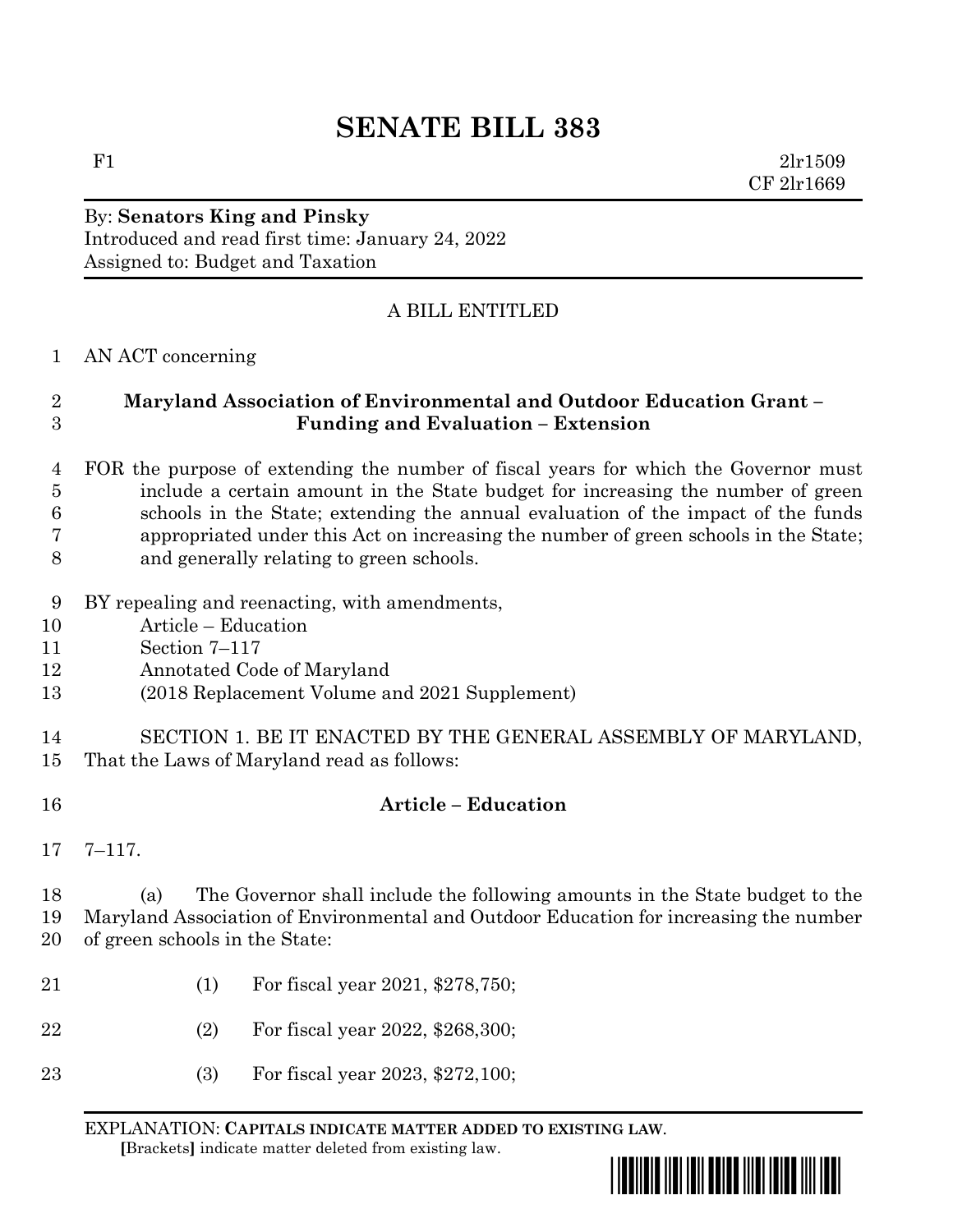# **SENATE BILL 383**

F1  $2\ln 1509$ CF 2lr1669

### By: **Senators King and Pinsky** Introduced and read first time: January 24, 2022 Assigned to: Budget and Taxation

## A BILL ENTITLED

#### AN ACT concerning

#### **Maryland Association of Environmental and Outdoor Education Grant – Funding and Evaluation – Extension**

#### FOR the purpose of extending the number of fiscal years for which the Governor must include a certain amount in the State budget for increasing the number of green schools in the State; extending the annual evaluation of the impact of the funds appropriated under this Act on increasing the number of green schools in the State; and generally relating to green schools.

- BY repealing and reenacting, with amendments,
- Article Education
- Section 7–117
- Annotated Code of Maryland
- (2018 Replacement Volume and 2021 Supplement)

## SECTION 1. BE IT ENACTED BY THE GENERAL ASSEMBLY OF MARYLAND, That the Laws of Maryland read as follows:

- **Article – Education**
- 7–117.

 (a) The Governor shall include the following amounts in the State budget to the Maryland Association of Environmental and Outdoor Education for increasing the number of green schools in the State:

- (1) For fiscal year 2021, \$278,750;
- (2) For fiscal year 2022, \$268,300;
- (3) For fiscal year 2023, \$272,100;

EXPLANATION: **CAPITALS INDICATE MATTER ADDED TO EXISTING LAW**.  **[**Brackets**]** indicate matter deleted from existing law.

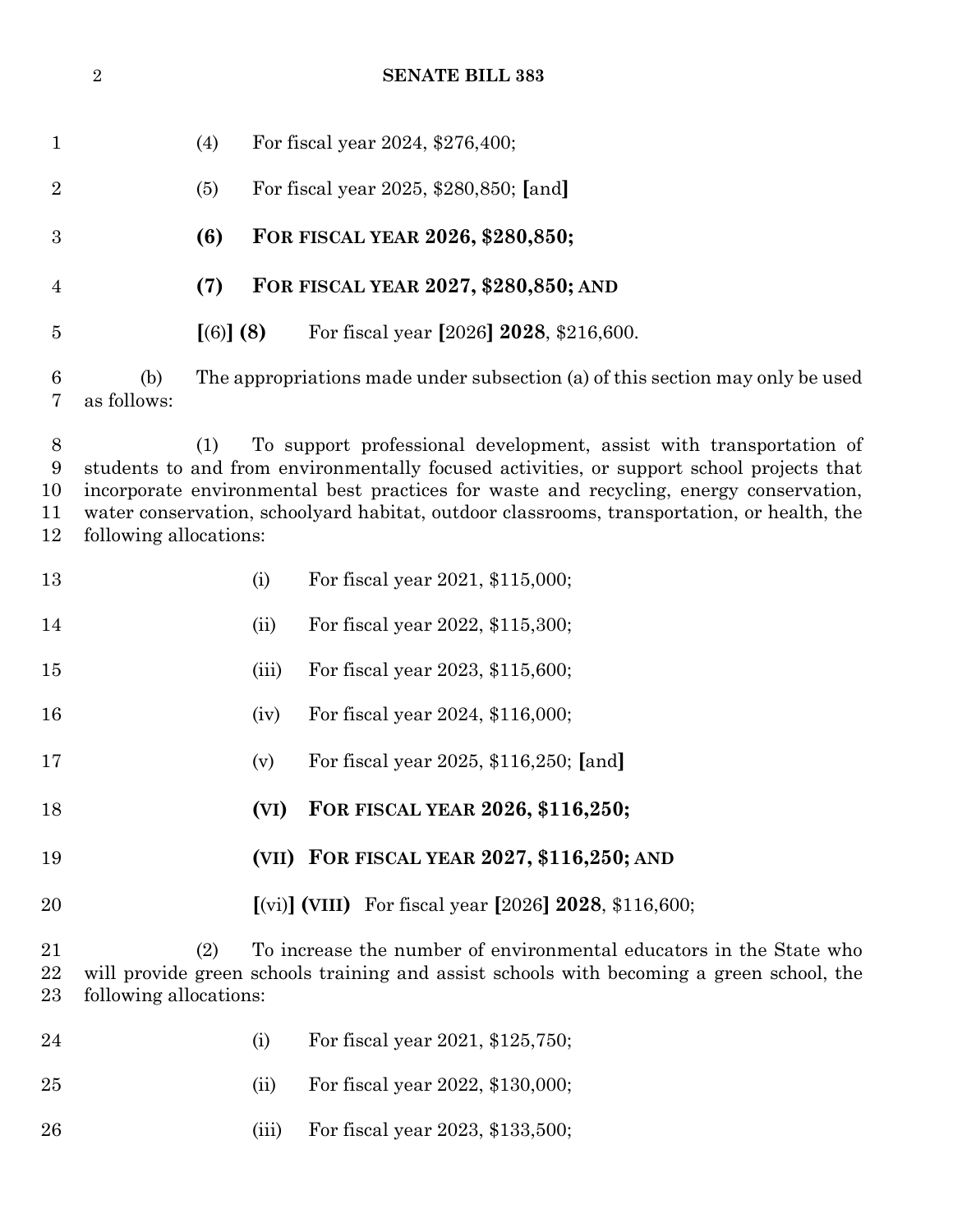|                              | $\sqrt{2}$                                                                                                                                                                                                                                                                                                                                                                              | <b>SENATE BILL 383</b>                                                        |       |                                                                            |  |  |  |
|------------------------------|-----------------------------------------------------------------------------------------------------------------------------------------------------------------------------------------------------------------------------------------------------------------------------------------------------------------------------------------------------------------------------------------|-------------------------------------------------------------------------------|-------|----------------------------------------------------------------------------|--|--|--|
| $\mathbf{1}$                 |                                                                                                                                                                                                                                                                                                                                                                                         | (4)                                                                           |       | For fiscal year 2024, \$276,400;                                           |  |  |  |
| $\overline{2}$               |                                                                                                                                                                                                                                                                                                                                                                                         | (5)                                                                           |       | For fiscal year 2025, \$280,850; [and]                                     |  |  |  |
| $\boldsymbol{3}$             |                                                                                                                                                                                                                                                                                                                                                                                         | (6)                                                                           |       | FOR FISCAL YEAR 2026, \$280,850;                                           |  |  |  |
| $\overline{4}$               |                                                                                                                                                                                                                                                                                                                                                                                         | (7)                                                                           |       | FOR FISCAL YEAR 2027, \$280,850; AND                                       |  |  |  |
| $\overline{5}$               |                                                                                                                                                                                                                                                                                                                                                                                         | [(6)] (8)                                                                     |       | For fiscal year [2026] 2028, \$216,600.                                    |  |  |  |
| 6<br>7                       | (b)<br>as follows:                                                                                                                                                                                                                                                                                                                                                                      | The appropriations made under subsection (a) of this section may only be used |       |                                                                            |  |  |  |
| $8\,$<br>9<br>10<br>11<br>12 | To support professional development, assist with transportation of<br>(1)<br>students to and from environmentally focused activities, or support school projects that<br>incorporate environmental best practices for waste and recycling, energy conservation,<br>water conservation, schoolyard habitat, outdoor classrooms, transportation, or health, the<br>following allocations: |                                                                               |       |                                                                            |  |  |  |
| 13                           |                                                                                                                                                                                                                                                                                                                                                                                         |                                                                               | (i)   | For fiscal year 2021, \$115,000;                                           |  |  |  |
| 14                           |                                                                                                                                                                                                                                                                                                                                                                                         |                                                                               | (ii)  | For fiscal year 2022, \$115,300;                                           |  |  |  |
| 15                           |                                                                                                                                                                                                                                                                                                                                                                                         |                                                                               | (iii) | For fiscal year 2023, \$115,600;                                           |  |  |  |
| 16                           |                                                                                                                                                                                                                                                                                                                                                                                         |                                                                               | (iv)  | For fiscal year 2024, \$116,000;                                           |  |  |  |
| 17                           |                                                                                                                                                                                                                                                                                                                                                                                         |                                                                               | (v)   | For fiscal year 2025, \$116,250; [and]                                     |  |  |  |
| 18                           |                                                                                                                                                                                                                                                                                                                                                                                         |                                                                               | (VI)  | FOR FISCAL YEAR 2026, \$116,250;                                           |  |  |  |
| 19                           |                                                                                                                                                                                                                                                                                                                                                                                         |                                                                               |       | (VII) FOR FISCAL YEAR 2027, \$116,250; AND                                 |  |  |  |
| 20                           |                                                                                                                                                                                                                                                                                                                                                                                         |                                                                               |       | $\lceil$ (vi) (VIII) For fiscal year $\lceil 2026 \rceil$ 2028, \$116,600; |  |  |  |
| 21<br>22<br>23               | To increase the number of environmental educators in the State who<br>(2)<br>will provide green schools training and assist schools with becoming a green school, the<br>following allocations:                                                                                                                                                                                         |                                                                               |       |                                                                            |  |  |  |
| 24                           |                                                                                                                                                                                                                                                                                                                                                                                         |                                                                               | (i)   | For fiscal year 2021, \$125,750;                                           |  |  |  |
| $25\,$                       |                                                                                                                                                                                                                                                                                                                                                                                         |                                                                               | (ii)  | For fiscal year 2022, \$130,000;                                           |  |  |  |
| 26                           |                                                                                                                                                                                                                                                                                                                                                                                         |                                                                               | (iii) | For fiscal year 2023, \$133,500;                                           |  |  |  |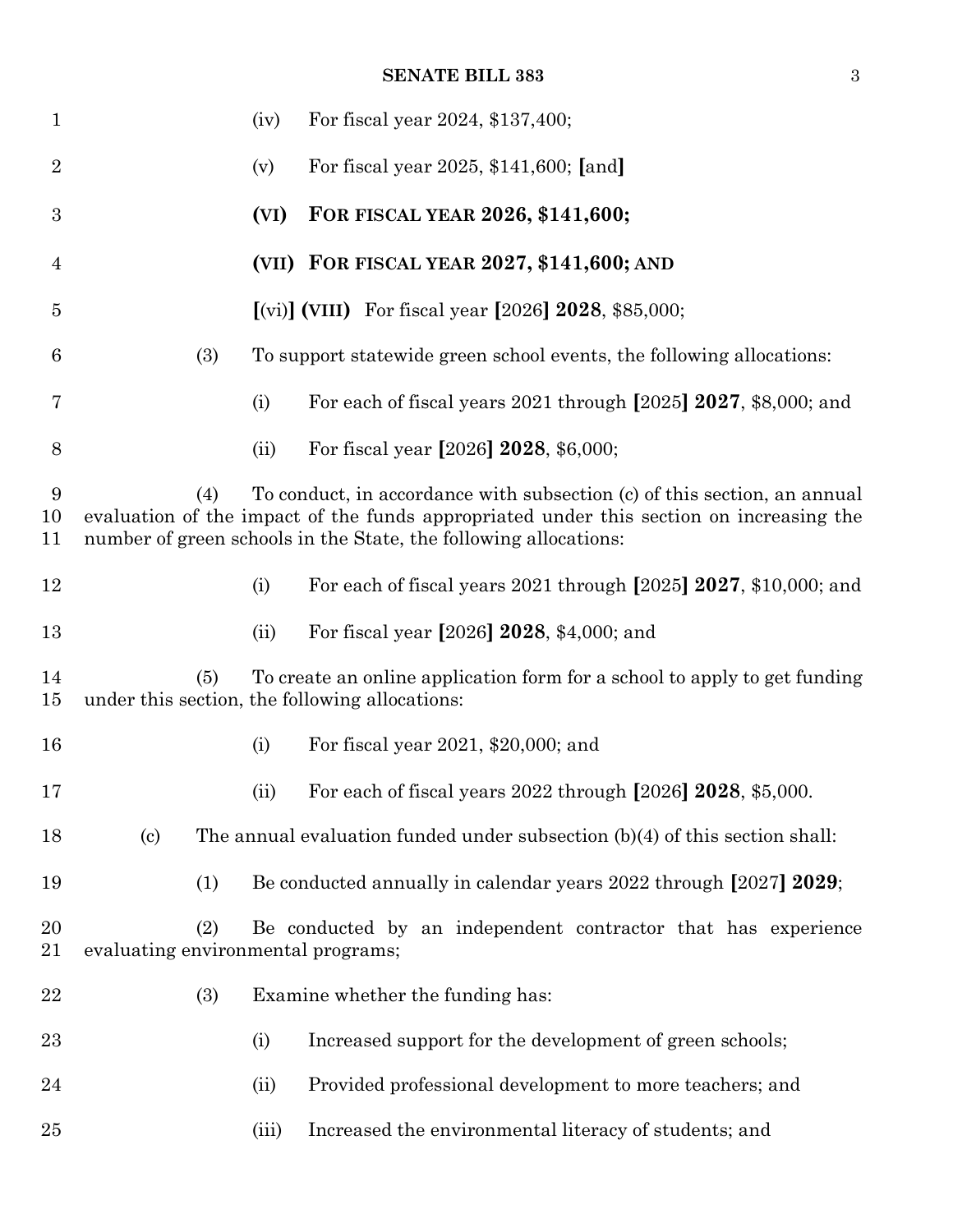#### **SENATE BILL 383** 3

| $\mathbf{1}$     |                                                                                                                                                                                                                                                | (iv)  | For fiscal year 2024, \$137,400;                                              |  |  |  |
|------------------|------------------------------------------------------------------------------------------------------------------------------------------------------------------------------------------------------------------------------------------------|-------|-------------------------------------------------------------------------------|--|--|--|
| $\sqrt{2}$       |                                                                                                                                                                                                                                                | (v)   | For fiscal year 2025, \$141,600; [and]                                        |  |  |  |
| $\boldsymbol{3}$ |                                                                                                                                                                                                                                                | (VI)  | FOR FISCAL YEAR 2026, \$141,600;                                              |  |  |  |
| $\overline{4}$   |                                                                                                                                                                                                                                                |       | (VII) FOR FISCAL YEAR 2027, \$141,600; AND                                    |  |  |  |
| $\overline{5}$   |                                                                                                                                                                                                                                                |       | [(vi)] (VIII) For fiscal year [2026] $2028$ , \$85,000;                       |  |  |  |
| 6                | (3)                                                                                                                                                                                                                                            |       | To support statewide green school events, the following allocations:          |  |  |  |
| 7                |                                                                                                                                                                                                                                                | (i)   | For each of fiscal years 2021 through [2025] 2027, \$8,000; and               |  |  |  |
| 8                |                                                                                                                                                                                                                                                | (ii)  | For fiscal year [2026] 2028, \$6,000;                                         |  |  |  |
| 9<br>10<br>11    | To conduct, in accordance with subsection (c) of this section, an annual<br>(4)<br>evaluation of the impact of the funds appropriated under this section on increasing the<br>number of green schools in the State, the following allocations: |       |                                                                               |  |  |  |
| 12               |                                                                                                                                                                                                                                                | (i)   | For each of fiscal years 2021 through [2025] 2027, \$10,000; and              |  |  |  |
| 13               |                                                                                                                                                                                                                                                | (ii)  | For fiscal year [2026] 2028, \$4,000; and                                     |  |  |  |
| 14<br>15         | To create an online application form for a school to apply to get funding<br>(5)<br>under this section, the following allocations:                                                                                                             |       |                                                                               |  |  |  |
| 16               |                                                                                                                                                                                                                                                | (i)   | For fiscal year 2021, \$20,000; and                                           |  |  |  |
| 17               |                                                                                                                                                                                                                                                | (ii)  | For each of fiscal years 2022 through [2026] 2028, \$5,000.                   |  |  |  |
| 18               | $\left( \mathrm{c}\right)$                                                                                                                                                                                                                     |       | The annual evaluation funded under subsection $(b)(4)$ of this section shall: |  |  |  |
| 19               | (1)                                                                                                                                                                                                                                            |       | Be conducted annually in calendar years 2022 through [2027] 2029;             |  |  |  |
| 20<br>21         | Be conducted by an independent contractor that has experience<br>(2)<br>evaluating environmental programs;                                                                                                                                     |       |                                                                               |  |  |  |
| $\bf{22}$        | (3)                                                                                                                                                                                                                                            |       | Examine whether the funding has:                                              |  |  |  |
| 23               |                                                                                                                                                                                                                                                | (i)   | Increased support for the development of green schools;                       |  |  |  |
| 24               |                                                                                                                                                                                                                                                | (ii)  | Provided professional development to more teachers; and                       |  |  |  |
| 25               |                                                                                                                                                                                                                                                | (iii) | Increased the environmental literacy of students; and                         |  |  |  |